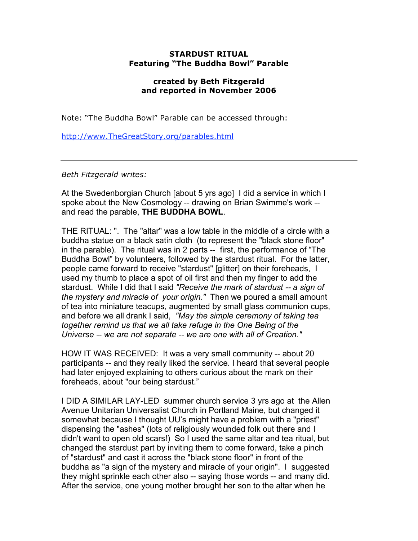## **STARDUST RITUAL Featuring "The Buddha Bowl" Parable**

## **created by Beth Fitzgerald and reported in November 2006**

Note: "The Buddha Bowl" Parable can be accessed through:

http://www.TheGreatStory.org/parables.html

*Beth Fitzgerald writes:*

At the Swedenborgian Church [about 5 yrs ago] I did a service in which I spoke about the New Cosmology -- drawing on Brian Swimme's work - and read the parable, **THE BUDDHA BOWL**.

THE RITUAL: ". The "altar" was a low table in the middle of a circle with a buddha statue on a black satin cloth (to represent the "black stone floor" in the parable). The ritual was in 2 parts -- first, the performance of "The Buddha Bowl" by volunteers, followed by the stardust ritual. For the latter, people came forward to receive "stardust" [glitter] on their foreheads, I used my thumb to place a spot of oil first and then my finger to add the stardust. While I did that I said *"Receive the mark of stardust -- a sign of the mystery and miracle of your origin."* Then we poured a small amount of tea into miniature teacups, augmented by small glass communion cups, and before we all drank I said, *"May the simple ceremony of taking tea together remind us that we all take refuge in the One Being of the Universe -- we are not separate -- we are one with all of Creation."*

HOW IT WAS RECEIVED: It was a very small community -- about 20 participants -- and they really liked the service. I heard that several people had later enjoyed explaining to others curious about the mark on their foreheads, about "our being stardust."

I DID A SIMILAR LAY-LED summer church service 3 yrs ago at the Allen Avenue Unitarian Universalist Church in Portland Maine, but changed it somewhat because I thought UU's might have a problem with a "priest" dispensing the "ashes" (lots of religiously wounded folk out there and I didn't want to open old scars!) So I used the same altar and tea ritual, but changed the stardust part by inviting them to come forward, take a pinch of "stardust" and cast it across the "black stone floor" in front of the buddha as "a sign of the mystery and miracle of your origin". I suggested they might sprinkle each other also -- saying those words -- and many did. After the service, one young mother brought her son to the altar when he